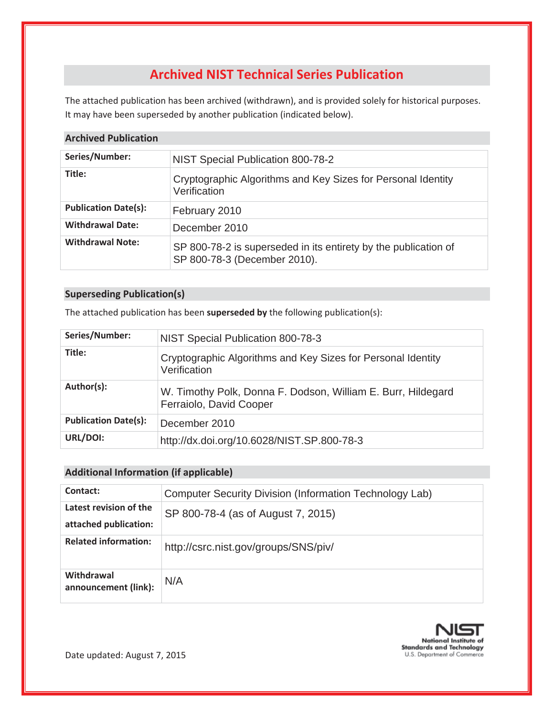# **Archived NIST Technical Series Publication**

The attached publication has been archived (withdrawn), and is provided solely for historical purposes. It may have been superseded by another publication (indicated below).

#### **Archived Publication**

| Series/Number:              | NIST Special Publication 800-78-2                                                               |  |  |  |
|-----------------------------|-------------------------------------------------------------------------------------------------|--|--|--|
| Title:                      | Cryptographic Algorithms and Key Sizes for Personal Identity<br>Verification                    |  |  |  |
| <b>Publication Date(s):</b> | February 2010                                                                                   |  |  |  |
| <b>Withdrawal Date:</b>     | December 2010                                                                                   |  |  |  |
| <b>Withdrawal Note:</b>     | SP 800-78-2 is superseded in its entirety by the publication of<br>SP 800-78-3 (December 2010). |  |  |  |

#### **Superseding Publication(s)**

The attached publication has been **superseded by** the following publication(s):

| Series/Number:              | NIST Special Publication 800-78-3                                                       |  |  |
|-----------------------------|-----------------------------------------------------------------------------------------|--|--|
| Title:                      | Cryptographic Algorithms and Key Sizes for Personal Identity<br>Verification            |  |  |
| Author(s):                  | W. Timothy Polk, Donna F. Dodson, William E. Burr, Hildegard<br>Ferraiolo, David Cooper |  |  |
| <b>Publication Date(s):</b> | December 2010                                                                           |  |  |
| URL/DOI:                    | http://dx.doi.org/10.6028/NIST.SP.800-78-3                                              |  |  |

#### **Additional Information (if applicable)**

| Contact:                                        | <b>Computer Security Division (Information Technology Lab)</b> |  |  |
|-------------------------------------------------|----------------------------------------------------------------|--|--|
| Latest revision of the<br>attached publication: | SP 800-78-4 (as of August 7, 2015)                             |  |  |
| <b>Related information:</b>                     | http://csrc.nist.gov/groups/SNS/piv/                           |  |  |
| Withdrawal<br>announcement (link):              | N/A                                                            |  |  |

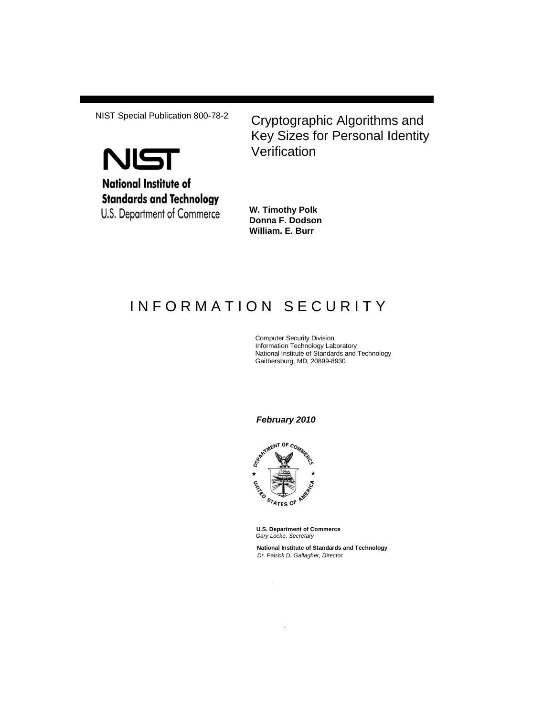

NIST Special Publication 800-78-2 Cryptographic Algorithms and Key Sizes for Personal Identity **Verification** 

> **W. Timothy Polk Donna F. Dodson William. E. Burr**

# INFORMATION SECURITY

Computer Security Division Information Technology Laboratory National Institute of Standards and Technology Gaithersburg, MD, 20899-8930

*February 2010*



*.*

*.*

**U.S. Department of Commerce** *Gary Locke, Secretary*

**National Institute of Standards and Technology** *Dr. Patrick D. Gallagher, Director*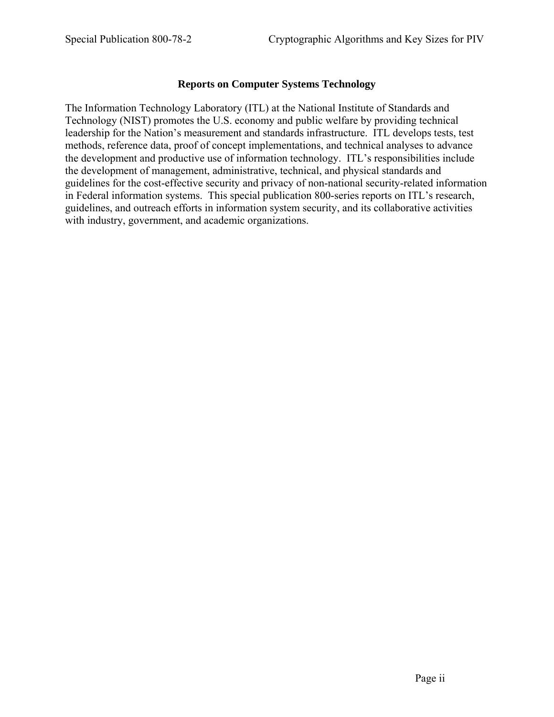#### **Reports on Computer Systems Technology**

The Information Technology Laboratory (ITL) at the National Institute of Standards and Technology (NIST) promotes the U.S. economy and public welfare by providing technical leadership for the Nation's measurement and standards infrastructure. ITL develops tests, test methods, reference data, proof of concept implementations, and technical analyses to advance the development and productive use of information technology. ITL's responsibilities include the development of management, administrative, technical, and physical standards and guidelines for the cost-effective security and privacy of non-national security-related information in Federal information systems. This special publication 800-series reports on ITL's research, guidelines, and outreach efforts in information system security, and its collaborative activities with industry, government, and academic organizations.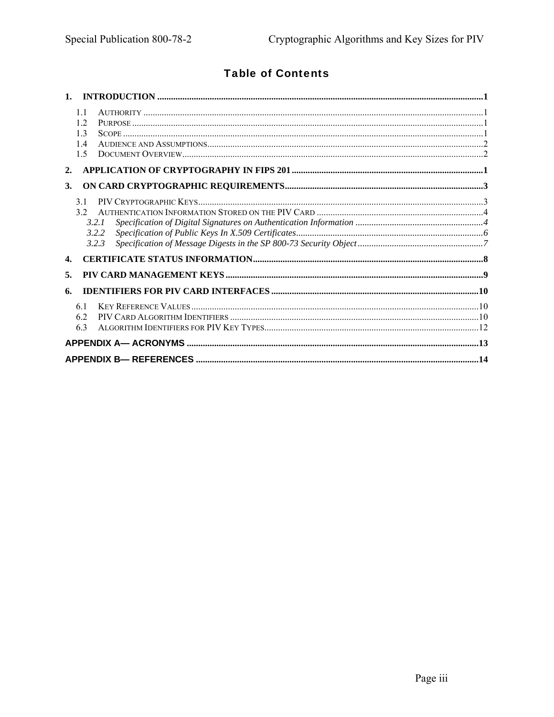# **Table of Contents**

| 11<br>12<br>13<br>14<br>1.5         |  |
|-------------------------------------|--|
| 2.                                  |  |
| 3.                                  |  |
| 31<br>32<br>3.2.1<br>3.2.2<br>3.2.3 |  |
| $\mathbf{4}$                        |  |
| 5.                                  |  |
| 6.                                  |  |
| 61<br>6.2<br>6.3                    |  |
|                                     |  |
|                                     |  |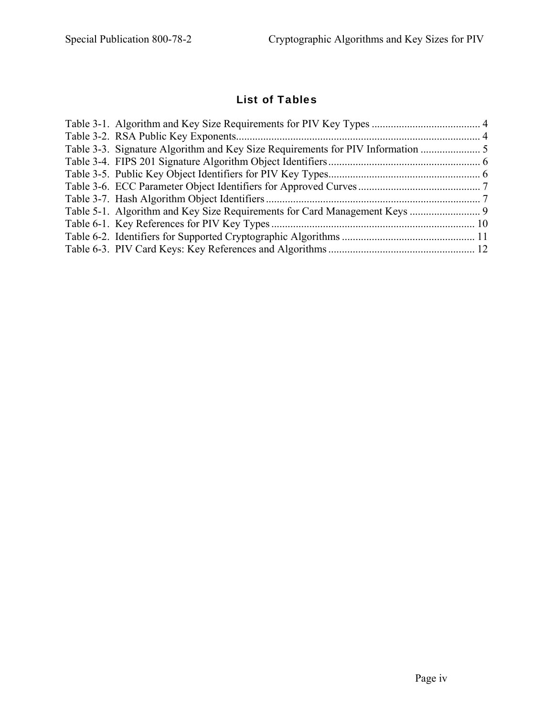# List of Tables

| Table 3-3. Signature Algorithm and Key Size Requirements for PIV Information |  |
|------------------------------------------------------------------------------|--|
|                                                                              |  |
|                                                                              |  |
|                                                                              |  |
|                                                                              |  |
|                                                                              |  |
|                                                                              |  |
|                                                                              |  |
|                                                                              |  |
|                                                                              |  |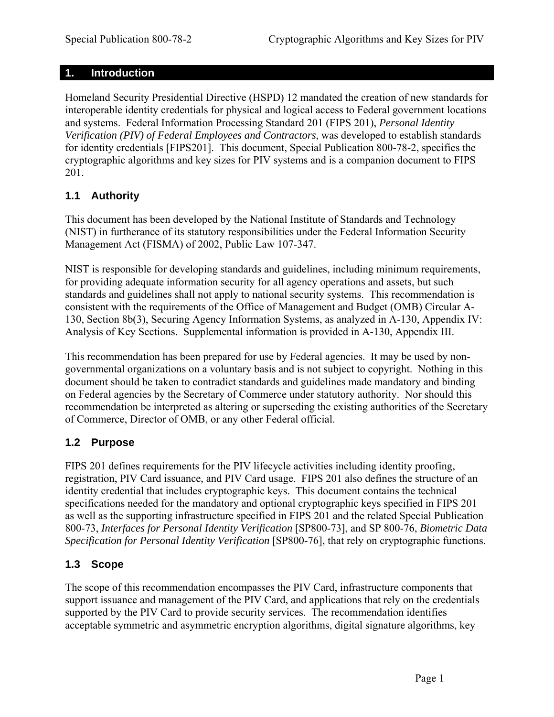### <span id="page-5-0"></span>**1. Introduction**

Homeland Security Presidential Directive (HSPD) 12 mandated the creation of new standards for interoperable identity credentials for physical and logical access to Federal government locations and systems. Federal Information Processing Standard 201 (FIPS 201), *Personal Identity Verification (PIV) of Federal Employees and Contractors*, was developed to establish standards for identity credentials [FIPS201]. This document, Special Publication 800-78-2, specifies the cryptographic algorithms and key sizes for PIV systems and is a companion document to FIPS 201.

## **1.1 Authority**

This document has been developed by the National Institute of Standards and Technology (NIST) in furtherance of its statutory responsibilities under the Federal Information Security Management Act (FISMA) of 2002, Public Law 107-347.

NIST is responsible for developing standards and guidelines, including minimum requirements, for providing adequate information security for all agency operations and assets, but such standards and guidelines shall not apply to national security systems. This recommendation is consistent with the requirements of the Office of Management and Budget (OMB) Circular A-130, Section 8b(3), Securing Agency Information Systems, as analyzed in A-130, Appendix IV: Analysis of Key Sections. Supplemental information is provided in A-130, Appendix III.

This recommendation has been prepared for use by Federal agencies. It may be used by nongovernmental organizations on a voluntary basis and is not subject to copyright. Nothing in this document should be taken to contradict standards and guidelines made mandatory and binding on Federal agencies by the Secretary of Commerce under statutory authority. Nor should this recommendation be interpreted as altering or superseding the existing authorities of the Secretary of Commerce, Director of OMB, or any other Federal official.

## **1.2 Purpose**

FIPS 201 defines requirements for the PIV lifecycle activities including identity proofing, registration, PIV Card issuance, and PIV Card usage. FIPS 201 also defines the structure of an identity credential that includes cryptographic keys. This document contains the technical specifications needed for the mandatory and optional cryptographic keys specified in FIPS 201 as well as the supporting infrastructure specified in FIPS 201 and the related Special Publication 800-73, *Interfaces for Personal Identity Verification* [SP800-73], and SP 800-76, *Biometric Data Specification for Personal Identity Verification* [SP800-76], that rely on cryptographic functions.

## **1.3 Scope**

The scope of this recommendation encompasses the PIV Card, infrastructure components that support issuance and management of the PIV Card, and applications that rely on the credentials supported by the PIV Card to provide security services. The recommendation identifies acceptable symmetric and asymmetric encryption algorithms, digital signature algorithms, key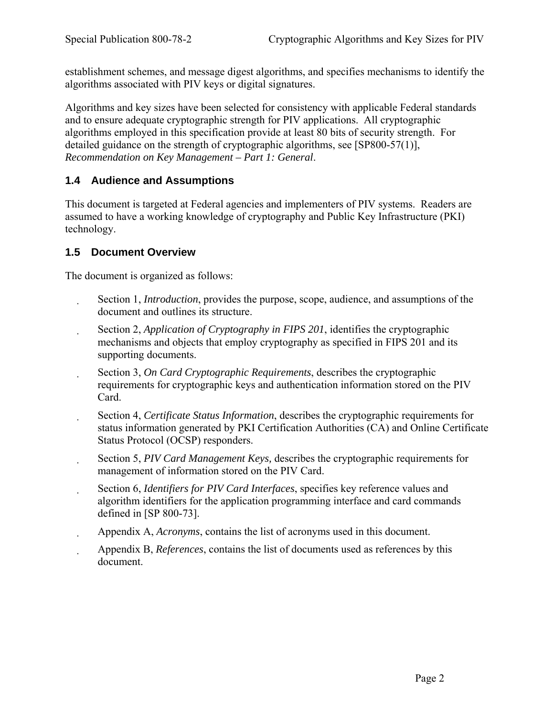<span id="page-6-0"></span>establishment schemes, and message digest algorithms, and specifies mechanisms to identify the algorithms associated with PIV keys or digital signatures.

Algorithms and key sizes have been selected for consistency with applicable Federal standards and to ensure adequate cryptographic strength for PIV applications. All cryptographic algorithms employed in this specification provide at least 80 bits of security strength. For detailed guidance on the strength of cryptographic algorithms, see [SP800-57(1)], *Recommendation on Key Management – Part 1: General*.

### **1.4 Audience and Assumptions**

This document is targeted at Federal agencies and implementers of PIV systems. Readers are assumed to have a working knowledge of cryptography and Public Key Infrastructure (PKI) technology.

### **1.5 Document Overview**

The document is organized as follows:

- Section 1, *Introduction*, provides the purpose, scope, audience, and assumptions of the document and outlines its structure.
- Section 2, *Application of Cryptography in FIPS 201*, identifies the cryptographic mechanisms and objects that employ cryptography as specified in FIPS 201 and its supporting documents.
- Section 3, *On Card Cryptographic Requirements*, describes the cryptographic  $\mathbf{r}$ requirements for cryptographic keys and authentication information stored on the PIV Card.
- Section 4, *Certificate Status Information*, describes the cryptographic requirements for status information generated by PKI Certification Authorities (CA) and Online Certificate Status Protocol (OCSP) responders.
- Section 5, *PIV Card Management Keys,* describes the cryptographic requirements for  $\ddot{\phantom{a}}$ management of information stored on the PIV Card.
- Section 6, *Identifiers for PIV Card Interfaces*, specifies key reference values and algorithm identifiers for the application programming interface and card commands defined in [SP 800-73].
- Appendix A, *Acronyms*, contains the list of acronyms used in this document.
- Appendix B, *References*, contains the list of documents used as references by this document.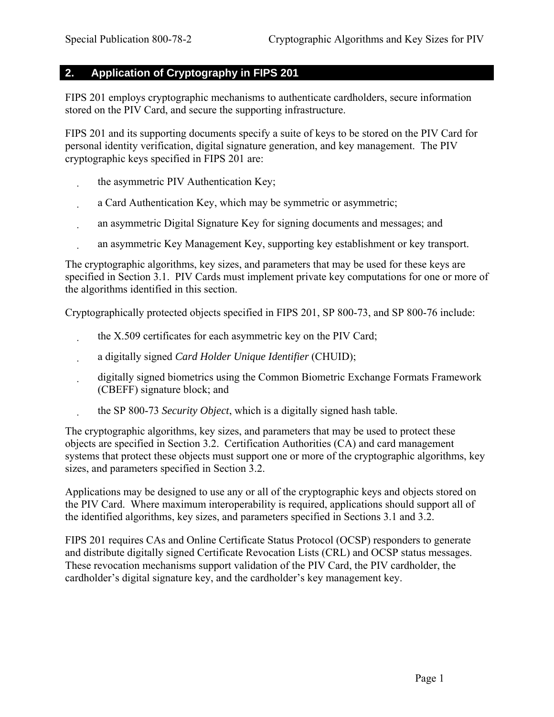# <span id="page-7-0"></span>**2. Application of Cryptography in FIPS 201**

FIPS 201 employs cryptographic mechanisms to authenticate cardholders, secure information stored on the PIV Card, and secure the supporting infrastructure.

FIPS 201 and its supporting documents specify a suite of keys to be stored on the PIV Card for personal identity verification, digital signature generation, and key management. The PIV cryptographic keys specified in FIPS 201 are:

- the asymmetric PIV Authentication Key;
- a Card Authentication Key, which may be symmetric or asymmetric;
- an asymmetric Digital Signature Key for signing documents and messages; and
- an asymmetric Key Management Key, supporting key establishment or key transport.

The cryptographic algorithms, key sizes, and parameters that may be used for these keys are specified in Section 3.1. PIV Cards must implement private key computations for one or more of the algorithms identified in this section.

Cryptographically protected objects specified in FIPS 201, SP 800-73, and SP 800-76 include:

- the X.509 certificates for each asymmetric key on the PIV Card;
- a digitally signed *Card Holder Unique Identifier* (CHUID);
- digitally signed biometrics using the Common Biometric Exchange Formats Framework (CBEFF) signature block; and
- the SP 800-73 *Security Object*, which is a digitally signed hash table.

The cryptographic algorithms, key sizes, and parameters that may be used to protect these objects are specified in Section 3.2. Certification Authorities (CA) and card management systems that protect these objects must support one or more of the cryptographic algorithms, key sizes, and parameters specified in Section 3.2.

Applications may be designed to use any or all of the cryptographic keys and objects stored on the PIV Card. Where maximum interoperability is required, applications should support all of the identified algorithms, key sizes, and parameters specified in Sections 3.1 and 3.2.

FIPS 201 requires CAs and Online Certificate Status Protocol (OCSP) responders to generate and distribute digitally signed Certificate Revocation Lists (CRL) and OCSP status messages. These revocation mechanisms support validation of the PIV Card, the PIV cardholder, the cardholder's digital signature key, and the cardholder's key management key.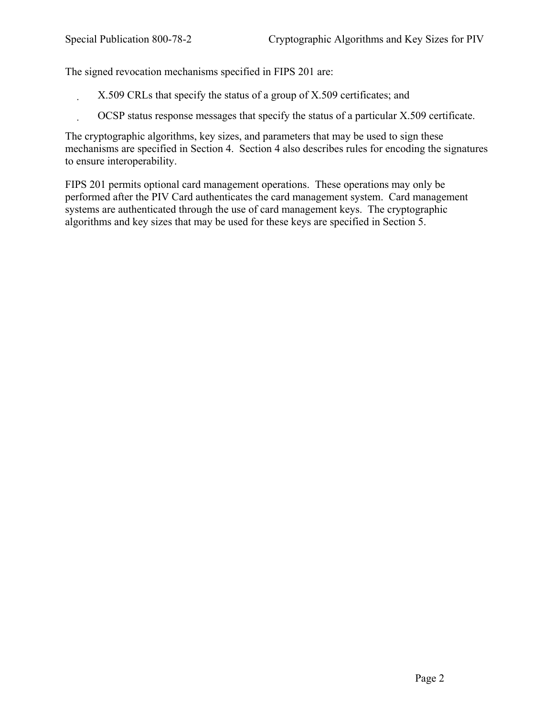The signed revocation mechanisms specified in FIPS 201 are:

X.509 CRLs that specify the status of a group of X.509 certificates; and

OCSP status response messages that specify the status of a particular X.509 certificate.

The cryptographic algorithms, key sizes, and parameters that may be used to sign these mechanisms are specified in Section 4. Section 4 also describes rules for encoding the signatures to ensure interoperability.

FIPS 201 permits optional card management operations. These operations may only be performed after the PIV Card authenticates the card management system. Card management systems are authenticated through the use of card management keys. The cryptographic algorithms and key sizes that may be used for these keys are specified in Section 5.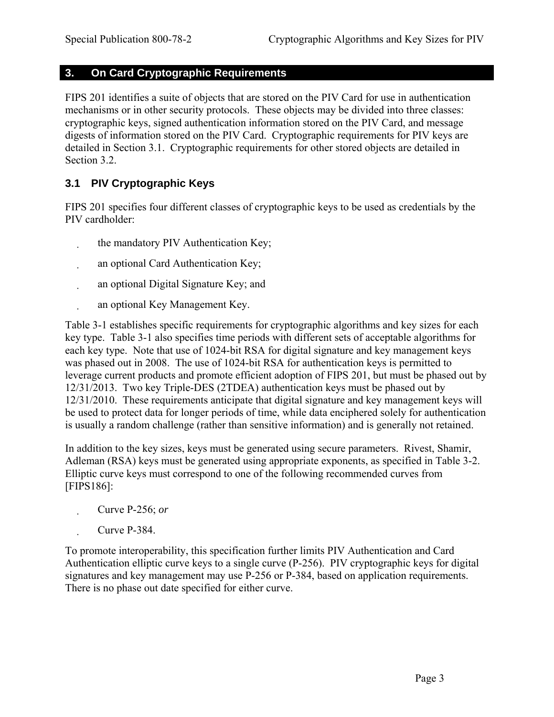### <span id="page-9-0"></span>**3. On Card Cryptographic Requirements**

FIPS 201 identifies a suite of objects that are stored on the PIV Card for use in authentication mechanisms or in other security protocols. These objects may be divided into three classes: cryptographic keys, signed authentication information stored on the PIV Card, and message digests of information stored on the PIV Card. Cryptographic requirements for PIV keys are detailed in Section 3.1. Cryptographic requirements for other stored objects are detailed in Section 3.2.

## **3.1 PIV Cryptographic Keys**

FIPS 201 specifies four different classes of cryptographic keys to be used as credentials by the PIV cardholder:

- the mandatory PIV Authentication Key;
- an optional Card Authentication Key;
- an optional Digital Signature Key; and
- an optional Key Management Key.

[Table 3-1](#page-10-1) establishes specific requirements for cryptographic algorithms and key sizes for each key type. [Table 3-1](#page-10-1) also specifies time periods with different sets of acceptable algorithms for each key type. Note that use of 1024-bit RSA for digital signature and key management keys was phased out in 2008. The use of 1024-bit RSA for authentication keys is permitted to leverage current products and promote efficient adoption of FIPS 201, but must be phased out by 12/31/2013. Two key Triple-DES (2TDEA) authentication keys must be phased out by 12/31/2010. These requirements anticipate that digital signature and key management keys will be used to protect data for longer periods of time, while data enciphered solely for authentication is usually a random challenge (rather than sensitive information) and is generally not retained.

In addition to the key sizes, keys must be generated using secure parameters. Rivest, Shamir, Adleman (RSA) keys must be generated using appropriate exponents, as specified in [Table 3-2.](#page-10-2) Elliptic curve keys must correspond to one of the following recommended curves from [FIPS186]:

- Curve P-256; *or*
- Curve P-384.

To promote interoperability, this specification further limits PIV Authentication and Card Authentication elliptic curve keys to a single curve (P-256). PIV cryptographic keys for digital signatures and key management may use P-256 or P-384, based on application requirements. There is no phase out date specified for either curve.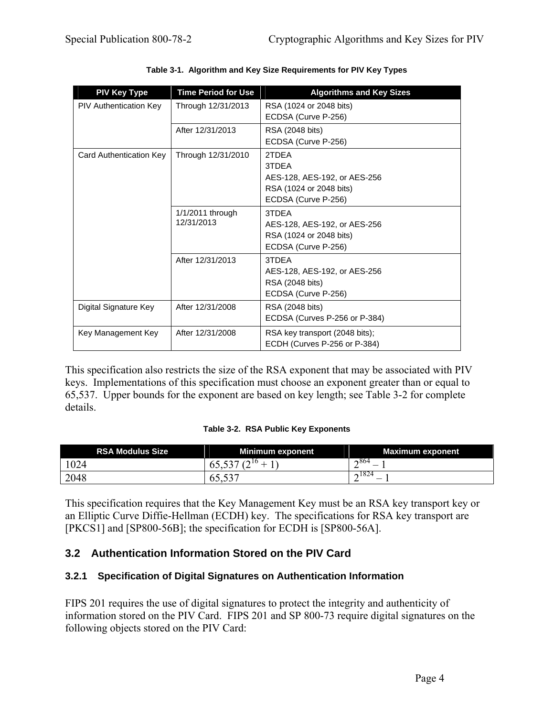<span id="page-10-1"></span><span id="page-10-0"></span>

| <b>PIV Key Type</b>     | <b>Time Period for Use</b>     | <b>Algorithms and Key Sizes</b>                                                                  |
|-------------------------|--------------------------------|--------------------------------------------------------------------------------------------------|
| PIV Authentication Key  | Through 12/31/2013             | RSA (1024 or 2048 bits)<br>ECDSA (Curve P-256)                                                   |
|                         | After 12/31/2013               | RSA (2048 bits)<br>ECDSA (Curve P-256)                                                           |
| Card Authentication Key | Through 12/31/2010             | 2TDFA<br>3TDEA<br>AES-128, AES-192, or AES-256<br>RSA (1024 or 2048 bits)<br>ECDSA (Curve P-256) |
|                         | 1/1/2011 through<br>12/31/2013 | 3TDFA<br>AES-128, AES-192, or AES-256<br>RSA (1024 or 2048 bits)<br>ECDSA (Curve P-256)          |
|                         | After 12/31/2013               | 3TDFA<br>AES-128, AES-192, or AES-256<br>RSA (2048 bits)<br>ECDSA (Curve P-256)                  |
| Digital Signature Key   | After 12/31/2008               | RSA (2048 bits)<br>ECDSA (Curves P-256 or P-384)                                                 |
| Key Management Key      | After 12/31/2008               | RSA key transport (2048 bits);<br>ECDH (Curves P-256 or P-384)                                   |

**Table 3-1. Algorithm and Key Size Requirements for PIV Key Types** 

This specification also restricts the size of the RSA exponent that may be associated with PIV keys. Implementations of this specification must choose an exponent greater than or equal to 65,537. Upper bounds for the exponent are based on key length; see [Table 3-2](#page-10-2) for complete details.

#### **Table 3-2. RSA Public Key Exponents**

<span id="page-10-2"></span>

| <b>RSA Modulus Size</b> | Minimum exponent                          | <b>Maximum exponent</b> |
|-------------------------|-------------------------------------------|-------------------------|
| 1024                    | (20)<br>$\sqrt{2}$<br>O <sub>2</sub><br>∸ | $\sim 864$<br>—         |
| 2048                    | 03.33                                     | $\sim 1824$<br>_        |

This specification requires that the Key Management Key must be an RSA key transport key or an Elliptic Curve Diffie-Hellman (ECDH) key. The specifications for RSA key transport are [PKCS1] and [SP800-56B]; the specification for ECDH is [SP800-56A].

## **3.2 Authentication Information Stored on the PIV Card**

#### **3.2.1 Specification of Digital Signatures on Authentication Information**

FIPS 201 requires the use of digital signatures to protect the integrity and authenticity of information stored on the PIV Card. FIPS 201 and SP 800-73 require digital signatures on the following objects stored on the PIV Card: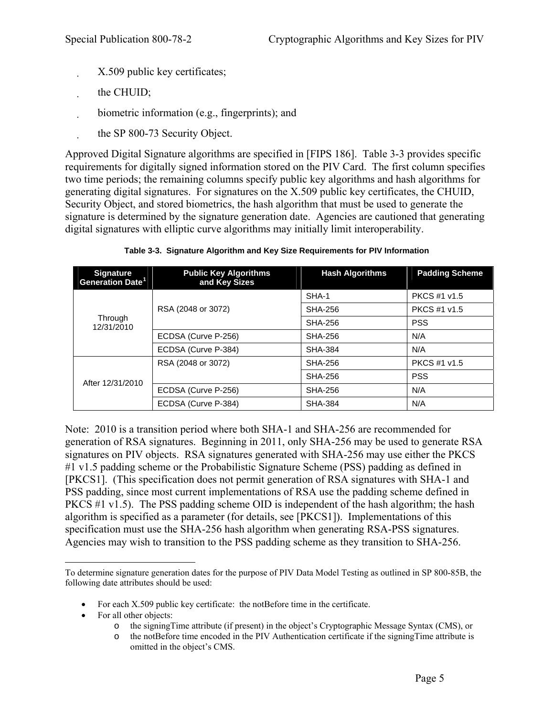- <span id="page-11-0"></span>X.509 public key certificates;
- the CHUID;
- biometric information (e.g., fingerprints); and
- the SP 800-73 Security Object.

Approved Digital Signature algorithms are specified in [FIPS 186]. Table 3-3 provides specific requirements for digitally signed information stored on the PIV Card. The first column specifies two time periods; the remaining columns specify public key algorithms and hash algorithms for generating digital signatures. For signatures on the X.509 public key certificates, the CHUID, Security Object, and stored biometrics, the hash algorithm that must be used to generate the signature is determined by the signature generation date. Agencies are cautioned that generating digital signatures with elliptic curve algorithms may initially limit interoperability.

| <b>Signature</b><br>Generation Date <sup>1</sup> | <b>Public Key Algorithms</b><br>and Key Sizes | <b>Hash Algorithms</b> | <b>Padding Scheme</b> |
|--------------------------------------------------|-----------------------------------------------|------------------------|-----------------------|
| Through<br>12/31/2010                            |                                               | SHA-1                  | PKCS #1 v1.5          |
|                                                  | RSA (2048 or 3072)                            | SHA-256                | <b>PKCS #1 v1.5</b>   |
|                                                  |                                               | SHA-256                | <b>PSS</b>            |
|                                                  | ECDSA (Curve P-256)                           | SHA-256                | N/A                   |
|                                                  | ECDSA (Curve P-384)                           | SHA-384                | N/A                   |
|                                                  | RSA (2048 or 3072)                            | SHA-256                | <b>PKCS #1 v1.5</b>   |
| After 12/31/2010                                 |                                               | SHA-256                | <b>PSS</b>            |
|                                                  | ECDSA (Curve P-256)                           | SHA-256                | N/A                   |
|                                                  | ECDSA (Curve P-384)                           | <b>SHA-384</b>         | N/A                   |

**Table 3-3. Signature Algorithm and Key Size Requirements for PIV Information** 

Note: 2010 is a transition period where both SHA-1 and SHA-256 are recommended for generation of RSA signatures. Beginning in 2011, only SHA-256 may be used to generate RSA signatures on PIV objects. RSA signatures generated with SHA-256 may use either the PKCS #1 v1.5 padding scheme or the Probabilistic Signature Scheme (PSS) padding as defined in [PKCS1]. (This specification does not permit generation of RSA signatures with SHA-1 and PSS padding, since most current implementations of RSA use the padding scheme defined in PKCS #1 v1.5). The PSS padding scheme OID is independent of the hash algorithm; the hash algorithm is specified as a parameter (for details, see [PKCS1]). Implementations of this specification must use the SHA-256 hash algorithm when generating RSA-PSS signatures. Agencies may wish to transition to the PSS padding scheme as they transition to SHA-256.

- For each X.509 public key certificate: the notBefore time in the certificate.
- For all other objects:
	- o the signingTime attribute (if present) in the object's Cryptographic Message Syntax (CMS), or
	- o the notBefore time encoded in the PIV Authentication certificate if the signingTime attribute is omitted in the object's CMS.

<span id="page-11-1"></span> $\overline{a}$ To determine signature generation dates for the purpose of PIV Data Model Testing as outlined in SP 800-85B, the following date attributes should be used: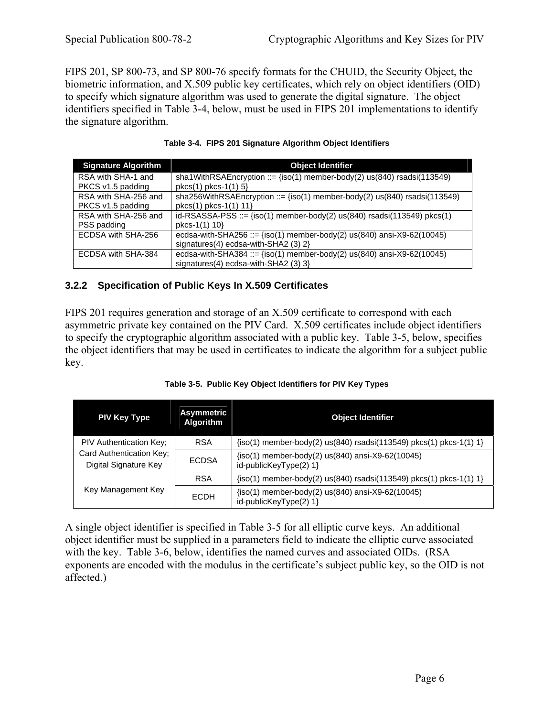<span id="page-12-0"></span>FIPS 201, SP 800-73, and SP 800-76 specify formats for the CHUID, the Security Object, the biometric information, and X.509 public key certificates, which rely on object identifiers (OID) to specify which signature algorithm was used to generate the digital signature. The object identifiers specified in Table 3-4, below, must be used in FIPS 201 implementations to identify the signature algorithm.

| <b>Signature Algorithm</b> | <b>Object Identifier</b>                                                             |  |  |
|----------------------------|--------------------------------------------------------------------------------------|--|--|
| RSA with SHA-1 and         | sha1WithRSAEncryption ::= $\{iso(1)$ member-body(2) $us(840)$ rsadsi(113549)         |  |  |
| PKCS v1.5 padding          | $pkcs(1) pkcs-1(1) 5$                                                                |  |  |
| RSA with SHA-256 and       | sha256WithRSAEncryption ::= $\{iso(1)$ member-body(2) $us(840)$ rsadsi(113549)       |  |  |
| PKCS v1.5 padding          | $pkcs(1) pkcs-1(1) 11$                                                               |  |  |
| RSA with SHA-256 and       | id-RSASSA-PSS ::= $\{iso(1)$ member-body(2) us $(840)$ rsadsi $(113549)$ pkcs $(1)$  |  |  |
| PSS padding                | pkcs-1(1) 10}                                                                        |  |  |
| ECDSA with SHA-256         | ecdsa-with-SHA256 ::= $\{iso(1)$ member-body(2) $us(840)$ ansi-X9-62(10045)          |  |  |
|                            | signatures(4) ecdsa-with-SHA2 $(3)$ 2}                                               |  |  |
| ECDSA with SHA-384         | ecdsa-with-SHA384 ::= $\frac{1}{1}$ (iso(1) member-body(2) us(840) ansi-X9-62(10045) |  |  |
|                            | signatures(4) ecdsa-with-SHA2 (3) 3}                                                 |  |  |

|  |  | Table 3-4. FIPS 201 Signature Algorithm Object Identifiers |
|--|--|------------------------------------------------------------|
|  |  |                                                            |

#### **3.2.2 Specification of Public Keys In X.509 Certificates**

FIPS 201 requires generation and storage of an X.509 certificate to correspond with each asymmetric private key contained on the PIV Card. X.509 certificates include object identifiers to specify the cryptographic algorithm associated with a public key. Table 3-5, below, specifies the object identifiers that may be used in certificates to indicate the algorithm for a subject public key.

| <b>PIV Key Type</b>                                                                 | <b>Asymmetric</b><br>Algorithm | <b>Object Identifier</b>                                                   |
|-------------------------------------------------------------------------------------|--------------------------------|----------------------------------------------------------------------------|
| <b>PIV Authentication Key:</b><br>Card Authentication Key;<br>Digital Signature Key | <b>RSA</b>                     | {iso(1) member-body(2) us(840) rsadsi(113549) pkcs(1) pkcs-1(1) 1}         |
|                                                                                     | <b>ECDSA</b>                   | {iso(1) member-body(2) us(840) ansi-X9-62(10045)<br>id-publicKeyType(2) 1} |
| Key Management Key                                                                  | <b>RSA</b>                     | $\{iso(1)$ member-body(2) us(840) rsadsi(113549) pkcs(1) pkcs-1(1) 1}      |
|                                                                                     | <b>ECDH</b>                    | {iso(1) member-body(2) us(840) ansi-X9-62(10045)<br>id-publicKeyType(2) 1} |

A single object identifier is specified in Table 3-5 for all elliptic curve keys. An additional object identifier must be supplied in a parameters field to indicate the elliptic curve associated with the key. Table 3-6, below, identifies the named curves and associated OIDs. (RSA exponents are encoded with the modulus in the certificate's subject public key, so the OID is not affected.)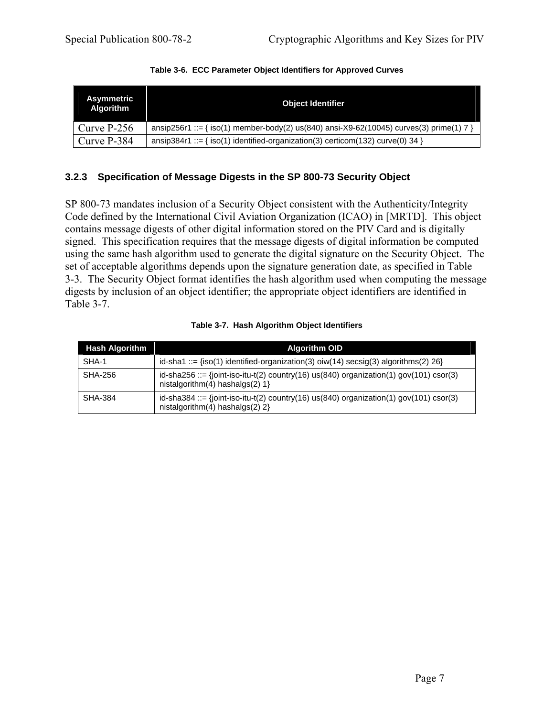<span id="page-13-0"></span>

| Asymmetric<br><b>Algorithm</b> | <b>Object Identifier</b>                                                                |  |  |
|--------------------------------|-----------------------------------------------------------------------------------------|--|--|
| Curve $P-256$                  | ansip256r1 ::= { iso(1) member-body(2) us(840) ansi-X9-62(10045) curves(3) prime(1) 7 } |  |  |
| Curve P-384                    | ansip384r1 ::= { iso(1) identified-organization(3) certicom(132) curve(0) 34 }          |  |  |

### **3.2.3 Specification of Message Digests in the SP 800-73 Security Object**

SP 800-73 mandates inclusion of a Security Object consistent with the Authenticity/Integrity Code defined by the International Civil Aviation Organization (ICAO) in [MRTD]. This object contains message digests of other digital information stored on the PIV Card and is digitally signed. This specification requires that the message digests of digital information be computed using the same hash algorithm used to generate the digital signature on the Security Object. The set of acceptable algorithms depends upon the signature generation date, as specified in Table 3-3. The Security Object format identifies the hash algorithm used when computing the message digests by inclusion of an object identifier; the appropriate object identifiers are identified in Table 3-7.

| <b>Hash Algorithm</b> | <b>Algorithm OID</b>                                                                                                               |  |  |
|-----------------------|------------------------------------------------------------------------------------------------------------------------------------|--|--|
| SHA-1                 | $id$ -sha1 ::= {iso(1) identified-organization(3) oiw(14) secsig(3) algorithms(2) 26}                                              |  |  |
| SHA-256               | $id$ -sha256 ::= {joint-iso-itu-t(2) country(16) us(840) organization(1) gov(101) csor(3)<br>nistalgorithm $(4)$ hashalgs $(2)$ 1} |  |  |
| SHA-384               | id-sha384 ::= {joint-iso-itu-t(2) country(16) us(840) organization(1) gov(101) csor(3)<br>nistalgorithm(4) hashalgs(2) $2$ }       |  |  |

#### **Table 3-7. Hash Algorithm Object Identifiers**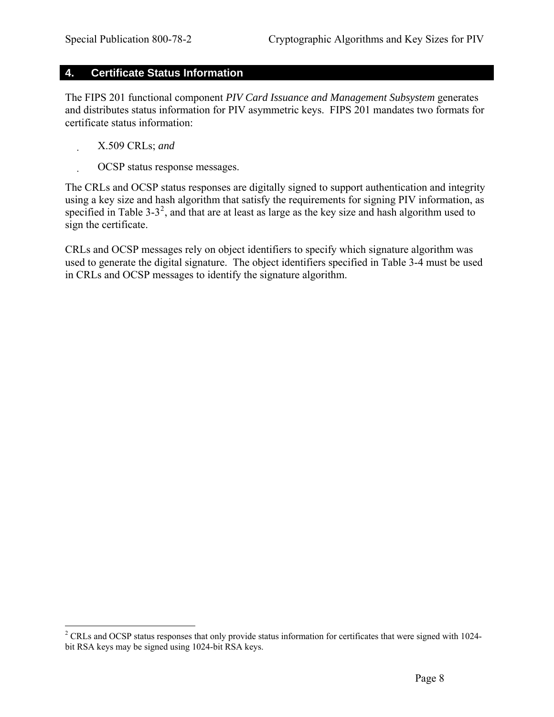#### <span id="page-14-0"></span>**4. Certificate Status Information**

The FIPS 201 functional component *PIV Card Issuance and Management Subsystem* generates and distributes status information for PIV asymmetric keys. FIPS 201 mandates two formats for certificate status information:

X.509 CRLs; *and*

 $\overline{a}$ 

OCSP status response messages.

The CRLs and OCSP status responses are digitally signed to support authentication and integrity using a key size and hash algorithm that satisfy the requirements for signing PIV information, as specified in Table 3-3<sup>[2](#page-14-1)</sup>, and that are at least as large as the key size and hash algorithm used to sign the certificate.

CRLs and OCSP messages rely on object identifiers to specify which signature algorithm was used to generate the digital signature. The object identifiers specified in Table 3-4 must be used in CRLs and OCSP messages to identify the signature algorithm.

<span id="page-14-1"></span> $2^2$  CRLs and OCSP status responses that only provide status information for certificates that were signed with 1024bit RSA keys may be signed using 1024-bit RSA keys.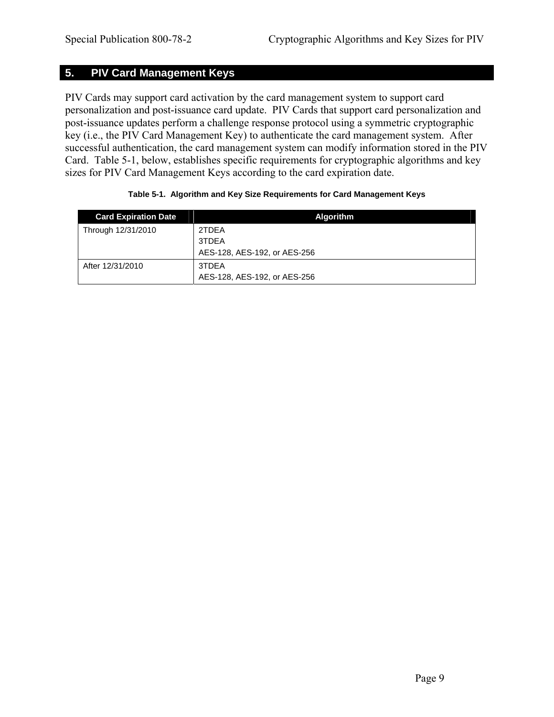# <span id="page-15-0"></span>**5. PIV Card Management Keys**

PIV Cards may support card activation by the card management system to support card personalization and post-issuance card update. PIV Cards that support card personalization and post-issuance updates perform a challenge response protocol using a symmetric cryptographic key (i.e., the PIV Card Management Key) to authenticate the card management system. After successful authentication, the card management system can modify information stored in the PIV Card. Table 5-1, below, establishes specific requirements for cryptographic algorithms and key sizes for PIV Card Management Keys according to the card expiration date.

| <b>Card Expiration Date</b> | <b>Algorithm</b>             |
|-----------------------------|------------------------------|
| Through 12/31/2010          | 2TDEA                        |
|                             | 3TDEA                        |
|                             | AES-128, AES-192, or AES-256 |
| After 12/31/2010            | 3TDEA                        |
|                             | AES-128, AES-192, or AES-256 |

#### **Table 5-1. Algorithm and Key Size Requirements for Card Management Keys**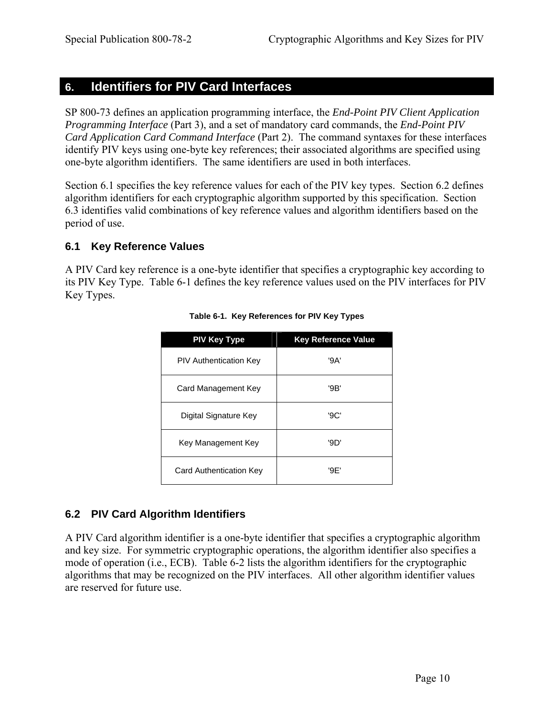# <span id="page-16-0"></span>**6. Identifiers for PIV Card Interfaces**

SP 800-73 defines an application programming interface, the *End-Point PIV Client Application Programming Interface* (Part 3), and a set of mandatory card commands, the *End-Point PIV Card Application Card Command Interface* (Part 2). The command syntaxes for these interfaces identify PIV keys using one-byte key references; their associated algorithms are specified using one-byte algorithm identifiers. The same identifiers are used in both interfaces.

Section 6.1 specifies the key reference values for each of the PIV key types. Section 6.2 defines algorithm identifiers for each cryptographic algorithm supported by this specification. Section 6.3 identifies valid combinations of key reference values and algorithm identifiers based on the period of use.

## **6.1 Key Reference Values**

A PIV Card key reference is a one-byte identifier that specifies a cryptographic key according to its PIV Key Type. Table 6-1 defines the key reference values used on the PIV interfaces for PIV Key Types.

| <b>PIV Key Type</b>           | <b>Key Reference Value</b> |
|-------------------------------|----------------------------|
| <b>PIV Authentication Key</b> | '9A'                       |
| Card Management Key           | '9B'                       |
| Digital Signature Key         | '9C'                       |
| Key Management Key            | '9D'                       |
| Card Authentication Key       | '9F'                       |

#### **Table 6-1. Key References for PIV Key Types**

# **6.2 PIV Card Algorithm Identifiers**

A PIV Card algorithm identifier is a one-byte identifier that specifies a cryptographic algorithm and key size. For symmetric cryptographic operations, the algorithm identifier also specifies a mode of operation (i.e., ECB). Table 6-2 lists the algorithm identifiers for the cryptographic algorithms that may be recognized on the PIV interfaces. All other algorithm identifier values are reserved for future use.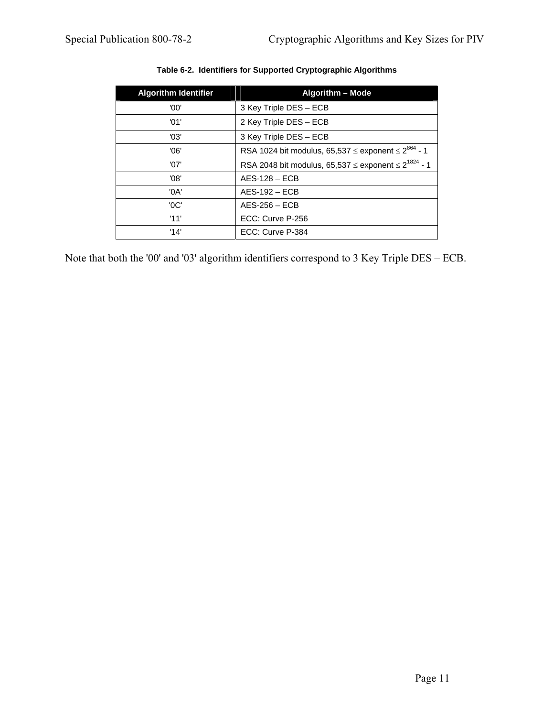<span id="page-17-0"></span>

| <b>Algorithm Identifier</b> | <b>Algorithm - Mode</b>                                                   |
|-----------------------------|---------------------------------------------------------------------------|
| '00'                        | 3 Key Triple DES - ECB                                                    |
| '01'                        | 2 Key Triple DES - ECB                                                    |
| '03'                        | 3 Key Triple DES - ECB                                                    |
| '06'                        | RSA 1024 bit modulus, 65,537 $\leq$ exponent $\leq 2^{864}$ - 1           |
| '07'                        | RSA 2048 bit modulus, 65,537 $\leq$ exponent $\leq$ 2 <sup>1824</sup> - 1 |
| '08'                        | $AES-128 - ECB$                                                           |
| '0A'                        | $AES-192 - ECB$                                                           |
| 'OC'                        | $AES-256 - ECB$                                                           |
| '11'                        | ECC: Curve P-256                                                          |
| '14'                        | ECC: Curve P-384                                                          |

#### **Table 6-2. Identifiers for Supported Cryptographic Algorithms**

Note that both the '00' and '03' algorithm identifiers correspond to 3 Key Triple DES – ECB.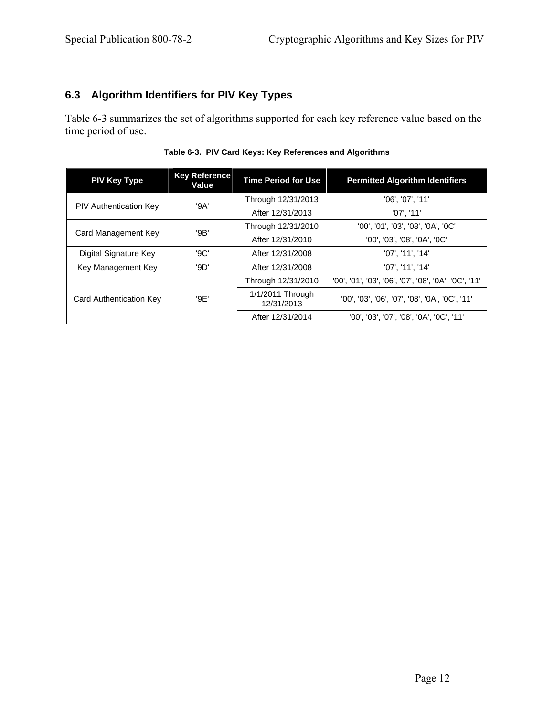## <span id="page-18-0"></span>**6.3 Algorithm Identifiers for PIV Key Types**

Table 6-3 summarizes the set of algorithms supported for each key reference value based on the time period of use.

| <b>PIV Key Type</b>           | <b>Key Reference</b><br>Value | <b>Time Period for Use</b>     | <b>Permitted Algorithm Identifiers</b>               |  |
|-------------------------------|-------------------------------|--------------------------------|------------------------------------------------------|--|
| <b>PIV Authentication Key</b> | '9A'                          | Through 12/31/2013             | '06', '07', '11'                                     |  |
|                               |                               | After 12/31/2013               | '07'. '11'                                           |  |
| Card Management Key           | '9B'                          | Through 12/31/2010             | '00', '01', '03', '08', '0A', '0C'                   |  |
|                               |                               | After 12/31/2010               | '00', '03', '08', '0A', '0C'                         |  |
| Digital Signature Key         | '9C'                          | After 12/31/2008               | '07', '11', '14'                                     |  |
| Key Management Key            | '9D'                          | After 12/31/2008               | '07'. '11'. '14'                                     |  |
|                               | '9E'                          | Through 12/31/2010             | '00', '01', '03', '06', '07', '08', '0A', '0C', '11' |  |
| Card Authentication Key       |                               | 1/1/2011 Through<br>12/31/2013 | '00', '03', '06', '07', '08', '0A', '0C', '11'       |  |
|                               |                               | After 12/31/2014               | '00', '03', '07', '08', '0A', '0C', '11'             |  |

|  |  | Table 6-3. PIV Card Keys: Key References and Algorithms |
|--|--|---------------------------------------------------------|
|  |  |                                                         |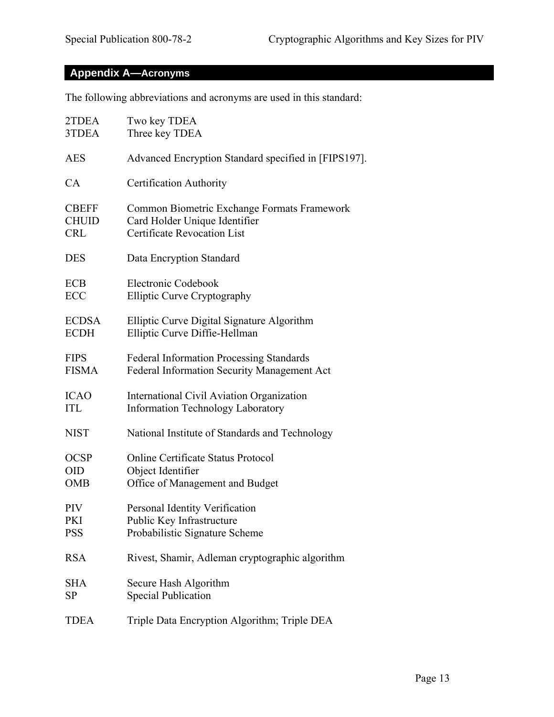# <span id="page-19-0"></span>**Appendix A—Acronyms**

The following abbreviations and acronyms are used in this standard:

| 2TDEA        | Two key TDEA                                         |
|--------------|------------------------------------------------------|
| 3TDEA        | Three key TDEA                                       |
| <b>AES</b>   | Advanced Encryption Standard specified in [FIPS197]. |
| CA           | Certification Authority                              |
| <b>CBEFF</b> | Common Biometric Exchange Formats Framework          |
| <b>CHUID</b> | Card Holder Unique Identifier                        |
| <b>CRL</b>   | <b>Certificate Revocation List</b>                   |
| <b>DES</b>   | Data Encryption Standard                             |
| <b>ECB</b>   | Electronic Codebook                                  |
| ECC          | <b>Elliptic Curve Cryptography</b>                   |
| <b>ECDSA</b> | Elliptic Curve Digital Signature Algorithm           |
| <b>ECDH</b>  | Elliptic Curve Diffie-Hellman                        |
| <b>FIPS</b>  | <b>Federal Information Processing Standards</b>      |
| <b>FISMA</b> | Federal Information Security Management Act          |
| <b>ICAO</b>  | International Civil Aviation Organization            |
| <b>ITL</b>   | <b>Information Technology Laboratory</b>             |
| <b>NIST</b>  | National Institute of Standards and Technology       |
| <b>OCSP</b>  | Online Certificate Status Protocol                   |
| <b>OID</b>   | Object Identifier                                    |
| <b>OMB</b>   | Office of Management and Budget                      |
| PIV          | Personal Identity Verification                       |
| PKI          | Public Key Infrastructure                            |
| <b>PSS</b>   | Probabilistic Signature Scheme                       |
| <b>RSA</b>   | Rivest, Shamir, Adleman cryptographic algorithm      |
| <b>SHA</b>   | Secure Hash Algorithm                                |
| <b>SP</b>    | <b>Special Publication</b>                           |
| <b>TDEA</b>  | Triple Data Encryption Algorithm; Triple DEA         |